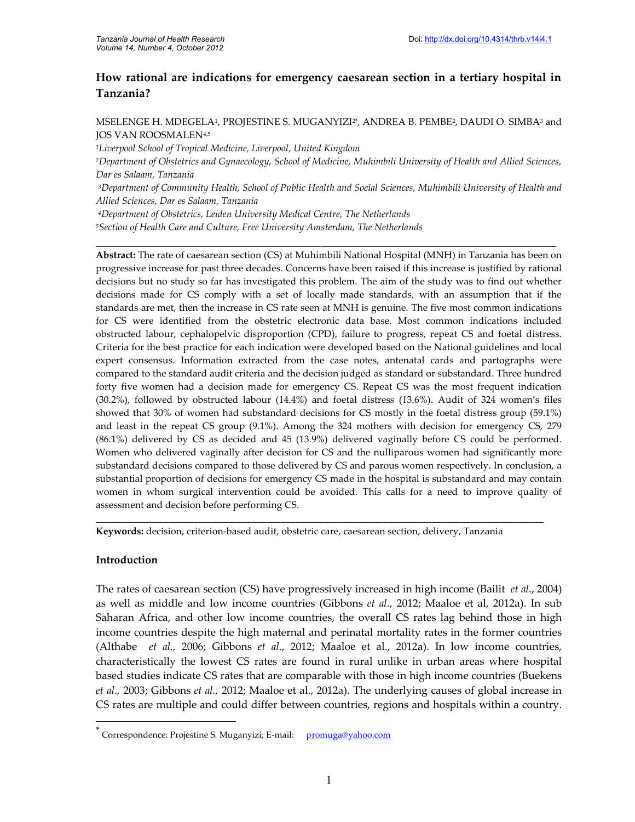# **How rational are indications for emergency caesarean section in a tertiary hospital in Tanzania?**

MSELENGE H. MDEGELA1, PROJESTINE S. MUGANYIZI2\*, ANDREA B. PEMBE?, DAUDI O. SIMBA3 and JOS VAN ROOSMALEN4,5

*<sup>1</sup>Liverpool School of Tropical Medicine, Liverpool, United Kingdom*

*<sup>3</sup>Department of Community Health, School of Public Health and Social Sciences, Muhimbili University of Health and Allied Sciences, Dar es Salaam, Tanzania*

\_\_\_\_\_\_\_\_\_\_\_\_\_\_\_\_\_\_\_\_\_\_\_\_\_\_\_\_\_\_\_\_\_\_\_\_\_\_\_\_\_\_\_\_\_\_\_\_\_\_\_\_\_\_\_\_\_\_\_\_\_\_\_\_\_\_\_\_\_\_\_\_\_\_\_\_\_\_\_\_\_\_\_\_\_\_

*<sup>4</sup>Department of Obstetrics, Leiden University Medical Centre, The Netherlands*

*<sup>5</sup>Section of Health Care and Culture, Free University Amsterdam, The Netherlands*

**Abstract:** The rate of caesarean section (CS) at Muhimbili National Hospital (MNH) in Tanzania has been on progressive increase for past three decades. Concerns have been raised if this increase is justified by rational decisions but no study so far has investigated this problem. The aim of the study was to find out whether decisions made for CS comply with a set of locally made standards, with an assumption that if the standards are met, then the increase in CS rate seen at MNH is genuine. The five most common indications for CS were identified from the obstetric electronic data base. Most common indications included obstructed labour, cephalopelvic disproportion (CPD), failure to progress, repeat CS and foetal distress. Criteria for the best practice for each indication were developed based on the National guidelines and local expert consensus. Information extracted from the case notes, antenatal cards and partographs were compared to the standard audit criteria and the decision judged as standard or substandard. Three hundred forty five women had a decision made for emergency CS. Repeat CS was the most frequent indication (30.2%), followed by obstructed labour (14.4%) and foetal distress (13.6%). Audit of 324 women's files showed that 30% of women had substandard decisions for CS mostly in the foetal distress group (59.1%) and least in the repeat CS group (9.1%). Among the 324 mothers with decision for emergency CS, 279 (86.1%) delivered by CS as decided and 45 (13.9%) delivered vaginally before CS could be performed. Women who delivered vaginally after decision for CS and the nulliparous women had significantly more substandard decisions compared to those delivered by CS and parous women respectively. In conclusion, a substantial proportion of decisions for emergency CS made in the hospital is substandard and may contain women in whom surgical intervention could be avoided. This calls for a need to improve quality of assessment and decision before performing CS.

**Keywords:** decision, criterion-based audit, obstetric care, caesarean section, delivery, Tanzania

**\_\_\_\_\_\_\_\_\_\_\_\_\_\_\_\_\_\_\_\_\_\_\_\_\_\_\_\_\_\_\_\_\_\_\_\_\_\_\_\_\_\_\_\_\_\_\_\_\_\_\_\_\_\_\_\_\_\_\_\_\_\_\_\_\_\_\_\_\_\_\_\_\_\_\_\_\_\_\_\_\_\_\_\_\_\_\_\_\_\_\_\_**

### **Introduction**

The rates of caesarean section (CS) have progressively increased in high income (Bailit *et al*., 2004) as well as middle and low income countries (Gibbons *et al*., 2012; Maaloe et al, 2012a). In sub Saharan Africa, and other low income countries, the overall CS rates lag behind those in high income countries despite the high maternal and perinatal mortality rates in the former countries (Althabe *et al.,* 2006; Gibbons *et al*., 2012; Maaloe et al., 2012a). In low income countries, characteristically the lowest CS rates are found in rural unlike in urban areas where hospital based studies indicate CS rates that are comparable with those in high income countries (Buekens *et al.,* 2003; Gibbons *et al.,* 2012; Maaloe et al., 2012a). The underlying causes of global increase in CS rates are multiple and could differ between countries, regions and hospitals within a country.

*<sup>2</sup>Department of Obstetrics and Gynaecology, School of Medicine, Muhimbili University of Health and Allied Sciences, Dar es Salaam, Tanzania*

<sup>\*&</sup>lt;br>Correspondence: Projestine S. Muganyizi; E-mail: p<u>romuga@yahoo.com</u>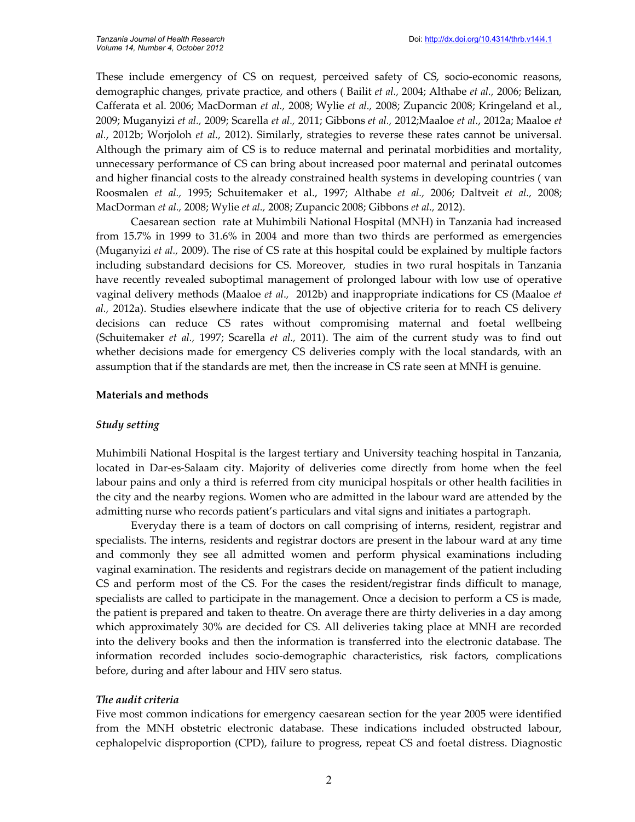These include emergency of CS on request, perceived safety of CS, socio-economic reasons, demographic changes, private practice, and others ( Bailit *et al.,* 2004; Althabe *et al.,* 2006; Belizan, Cafferata et al. 2006; MacDorman *et al.,* 2008; Wylie *et al.,* 2008; Zupancic 2008; Kringeland et al., 2009; Muganyizi *et al.,* 2009; Scarella *et al.,* 2011; Gibbons *et al.,* 2012;Maaloe *et al.*, 2012a; Maaloe *et al.*, 2012b; Worjoloh *et al.,* 2012). Similarly, strategies to reverse these rates cannot be universal. Although the primary aim of CS is to reduce maternal and perinatal morbidities and mortality, unnecessary performance of CS can bring about increased poor maternal and perinatal outcomes and higher financial costs to the already constrained health systems in developing countries ( van Roosmalen *et al.,* 1995; Schuitemaker et al., 1997; Althabe *et al.,* 2006; Daltveit *et al.,* 2008; MacDorman *et al.,* 2008; Wylie *et al.,* 2008; Zupancic 2008; Gibbons *et al.,* 2012).

Caesarean section rate at Muhimbili National Hospital (MNH) in Tanzania had increased from 15.7% in 1999 to 31.6% in 2004 and more than two thirds are performed as emergencies (Muganyizi *et al.,* 2009). The rise of CS rate at this hospital could be explained by multiple factors including substandard decisions for CS. Moreover, studies in two rural hospitals in Tanzania have recently revealed suboptimal management of prolonged labour with low use of operative vaginal delivery methods (Maaloe *et al*.*,* 2012b) and inappropriate indications for CS (Maaloe *et al.,* 2012a). Studies elsewhere indicate that the use of objective criteria for to reach CS delivery decisions can reduce CS rates without compromising maternal and foetal wellbeing (Schuitemaker *et al.,* 1997; Scarella *et al.,* 2011). The aim of the current study was to find out whether decisions made for emergency CS deliveries comply with the local standards, with an assumption that if the standards are met, then the increase in CS rate seen at MNH is genuine.

#### **Materials and methods**

#### *Study setting*

Muhimbili National Hospital is the largest tertiary and University teaching hospital in Tanzania, located in Dar-es-Salaam city. Majority of deliveries come directly from home when the feel labour pains and only a third is referred from city municipal hospitals or other health facilities in the city and the nearby regions. Women who are admitted in the labour ward are attended by the admitting nurse who records patient's particulars and vital signs and initiates a partograph.

Everyday there is a team of doctors on call comprising of interns, resident, registrar and specialists. The interns, residents and registrar doctors are present in the labour ward at any time and commonly they see all admitted women and perform physical examinations including vaginal examination. The residents and registrars decide on management of the patient including CS and perform most of the CS. For the cases the resident/registrar finds difficult to manage, specialists are called to participate in the management. Once a decision to perform a CS is made, the patient is prepared and taken to theatre. On average there are thirty deliveries in a day among which approximately 30% are decided for CS. All deliveries taking place at MNH are recorded into the delivery books and then the information is transferred into the electronic database. The information recorded includes socio-demographic characteristics, risk factors, complications before, during and after labour and HIV sero status.

### *The audit criteria*

Five most common indications for emergency caesarean section for the year 2005 were identified from the MNH obstetric electronic database. These indications included obstructed labour, cephalopelvic disproportion (CPD), failure to progress, repeat CS and foetal distress. Diagnostic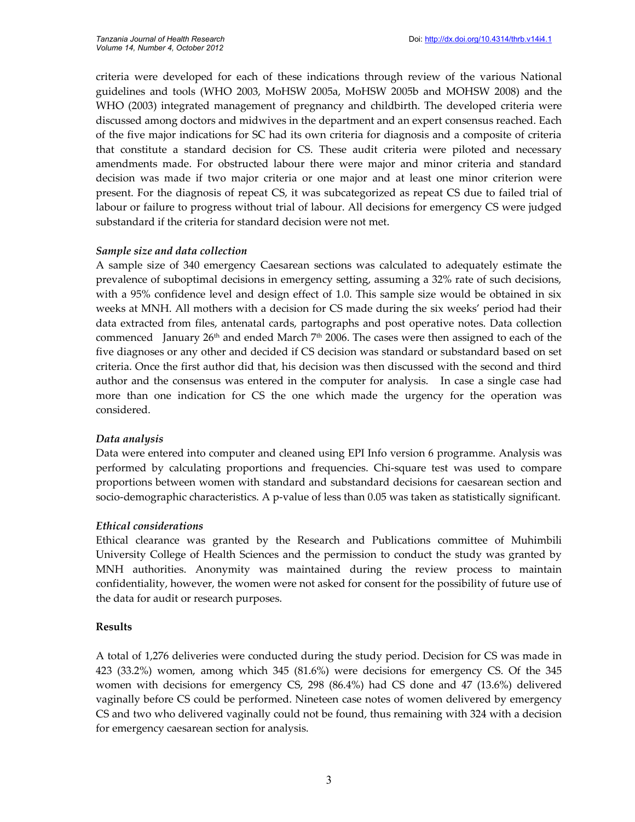criteria were developed for each of these indications through review of the various National guidelines and tools (WHO 2003, MoHSW 2005a, MoHSW 2005b and MOHSW 2008) and the WHO (2003) integrated management of pregnancy and childbirth. The developed criteria were discussed among doctors and midwives in the department and an expert consensus reached. Each of the five major indications for SC had its own criteria for diagnosis and a composite of criteria that constitute a standard decision for CS. These audit criteria were piloted and necessary amendments made. For obstructed labour there were major and minor criteria and standard decision was made if two major criteria or one major and at least one minor criterion were present. For the diagnosis of repeat CS, it was subcategorized as repeat CS due to failed trial of labour or failure to progress without trial of labour. All decisions for emergency CS were judged substandard if the criteria for standard decision were not met.

## *Sample size and data collection*

A sample size of 340 emergency Caesarean sections was calculated to adequately estimate the prevalence of suboptimal decisions in emergency setting, assuming a 32% rate of such decisions, with a 95% confidence level and design effect of 1.0. This sample size would be obtained in six weeks at MNH. All mothers with a decision for CS made during the six weeks' period had their data extracted from files, antenatal cards, partographs and post operative notes. Data collection commenced January 26<sup>th</sup> and ended March 7<sup>th</sup> 2006. The cases were then assigned to each of the five diagnoses or any other and decided if CS decision was standard or substandard based on set criteria. Once the first author did that, his decision was then discussed with the second and third author and the consensus was entered in the computer for analysis. In case a single case had more than one indication for CS the one which made the urgency for the operation was considered.

### *Data analysis*

Data were entered into computer and cleaned using EPI Info version 6 programme. Analysis was performed by calculating proportions and frequencies. Chi-square test was used to compare proportions between women with standard and substandard decisions for caesarean section and socio-demographic characteristics. A p-value of less than 0.05 was taken as statistically significant.

### *Ethical considerations*

Ethical clearance was granted by the Research and Publications committee of Muhimbili University College of Health Sciences and the permission to conduct the study was granted by MNH authorities. Anonymity was maintained during the review process to maintain confidentiality, however, the women were not asked for consent for the possibility of future use of the data for audit or research purposes.

### **Results**

A total of 1,276 deliveries were conducted during the study period. Decision for CS was made in 423 (33.2%) women, among which 345 (81.6%) were decisions for emergency CS. Of the 345 women with decisions for emergency CS, 298 (86.4%) had CS done and 47 (13.6%) delivered vaginally before CS could be performed. Nineteen case notes of women delivered by emergency CS and two who delivered vaginally could not be found, thus remaining with 324 with a decision for emergency caesarean section for analysis.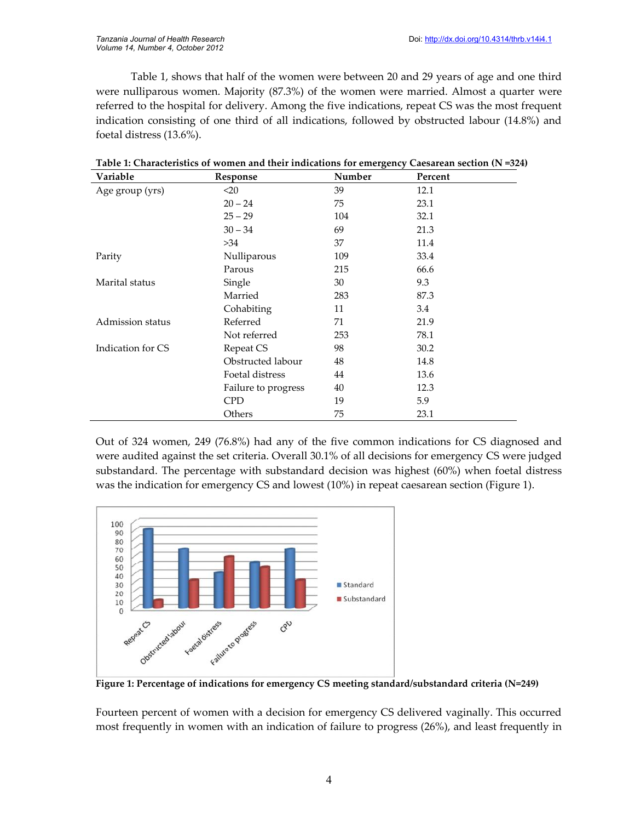Table 1, shows that half of the women were between 20 and 29 years of age and one third were nulliparous women. Majority (87.3%) of the women were married. Almost a quarter were referred to the hospital for delivery. Among the five indications, repeat CS was the most frequent indication consisting of one third of all indications, followed by obstructed labour (14.8%) and foetal distress (13.6%).

| Variable          | Response            | Number | Percent |  |
|-------------------|---------------------|--------|---------|--|
| Age group (yrs)   | $20$                | 39     | 12.1    |  |
|                   | $20 - 24$           | 75     | 23.1    |  |
|                   | $25 - 29$           | 104    | 32.1    |  |
|                   | $30 - 34$           | 69     | 21.3    |  |
|                   | >34                 | 37     | 11.4    |  |
| Parity            | Nulliparous         | 109    | 33.4    |  |
|                   | Parous              | 215    | 66.6    |  |
| Marital status    | Single              | 30     | 9.3     |  |
|                   | Married             | 283    | 87.3    |  |
|                   | Cohabiting          | 11     | 3.4     |  |
| Admission status  | Referred            | 71     | 21.9    |  |
|                   | Not referred        | 253    | 78.1    |  |
| Indication for CS | Repeat CS           | 98     | 30.2    |  |
|                   | Obstructed labour   | 48     | 14.8    |  |
|                   | Foetal distress     | 44     | 13.6    |  |
|                   | Failure to progress | 40     | 12.3    |  |
|                   | <b>CPD</b>          | 19     | 5.9     |  |
|                   | Others              | 75     | 23.1    |  |

|  |  | Table 1: Characteristics of women and their indications for emergency Caesarean section (N =324) |
|--|--|--------------------------------------------------------------------------------------------------|
|--|--|--------------------------------------------------------------------------------------------------|

Out of 324 women, 249 (76.8%) had any of the five common indications for CS diagnosed and were audited against the set criteria. Overall 30.1% of all decisions for emergency CS were judged substandard. The percentage with substandard decision was highest (60%) when foetal distress was the indication for emergency CS and lowest (10%) in repeat caesarean section (Figure 1).



**Figure 1: Percentage of indications for emergency CS meeting standard/substandard criteria (N=249)**

Fourteen percent of women with a decision for emergency CS delivered vaginally. This occurred most frequently in women with an indication of failure to progress (26%), and least frequently in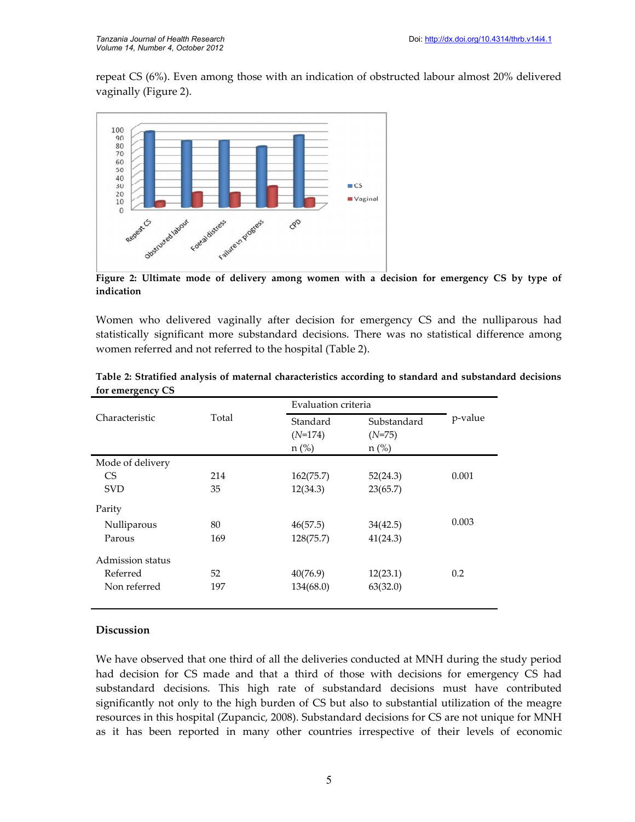repeat CS (6%). Even among those with an indication of obstructed labour almost 20% delivered vaginally (Figure 2).



**Figure 2: Ultimate mode of delivery among women with a decision for emergency CS by type of indication**

Women who delivered vaginally after decision for emergency CS and the nulliparous had statistically significant more substandard decisions. There was no statistical difference among women referred and not referred to the hospital (Table 2).

| Characteristic   | Total |                                  | Evaluation criteria                |         |
|------------------|-------|----------------------------------|------------------------------------|---------|
|                  |       | Standard<br>$(N=174)$<br>$n$ (%) | Substandard<br>$(N=75)$<br>$n$ (%) | p-value |
| Mode of delivery |       |                                  |                                    |         |
| C <sub>S</sub>   | 214   | 162(75.7)                        | 52(24.3)                           | 0.001   |
| <b>SVD</b>       | 35    | 12(34.3)                         | 23(65.7)                           |         |
| Parity           |       |                                  |                                    |         |
| Nulliparous      | 80    | 46(57.5)                         | 34(42.5)                           | 0.003   |
| Parous           | 169   | 128(75.7)                        | 41(24.3)                           |         |
| Admission status |       |                                  |                                    |         |
| Referred         | 52    | 40(76.9)                         | 12(23.1)                           | 0.2     |
| Non referred     | 197   | 134(68.0)                        | 63(32.0)                           |         |

**Table 2: Stratified analysis of maternal characteristics according to standard and substandard decisions for emergency CS**

#### **Discussion**

We have observed that one third of all the deliveries conducted at MNH during the study period had decision for CS made and that a third of those with decisions for emergency CS had substandard decisions. This high rate of substandard decisions must have contributed significantly not only to the high burden of CS but also to substantial utilization of the meagre resources in this hospital (Zupancic, 2008). Substandard decisions for CS are not unique for MNH as it has been reported in many other countries irrespective of their levels of economic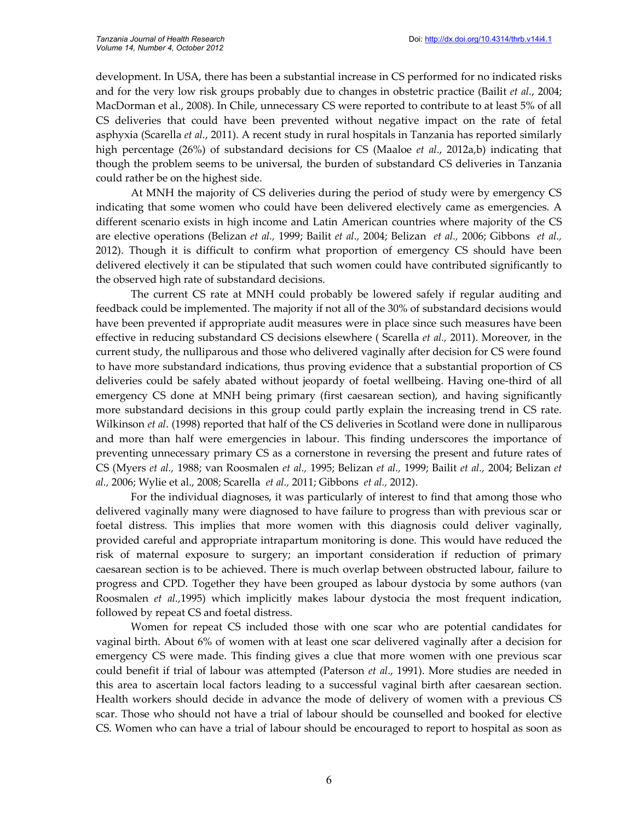development. In USA, there has been a substantial increase in CS performed for no indicated risks and for the very low risk groups probably due to changes in obstetric practice (Bailit *et al.*, 2004; MacDorman et al., 2008). In Chile, unnecessary CS were reported to contribute to at least 5% of all CS deliveries that could have been prevented without negative impact on the rate of fetal asphyxia (Scarella *et al.*, 2011). A recent study in rural hospitals in Tanzania has reported similarly high percentage (26%) of substandard decisions for CS (Maaloe *et al*., 2012a,b) indicating that though the problem seems to be universal, the burden of substandard CS deliveries in Tanzania could rather be on the highest side.

At MNH the majority of CS deliveries during the period of study were by emergency CS indicating that some women who could have been delivered electively came as emergencies. A different scenario exists in high income and Latin American countries where majority of the CS are elective operations (Belizan *et al.,* 1999; Bailit *et al.,* 2004; Belizan *et al.,* 2006; Gibbons *et al.,* 2012). Though it is difficult to confirm what proportion of emergency CS should have been delivered electively it can be stipulated that such women could have contributed significantly to the observed high rate of substandard decisions.

The current CS rate at MNH could probably be lowered safely if regular auditing and feedback could be implemented. The majority if not all of the 30% of substandard decisions would have been prevented if appropriate audit measures were in place since such measures have been effective in reducing substandard CS decisions elsewhere ( Scarella *et al.,* 2011). Moreover, in the current study, the nulliparous and those who delivered vaginally after decision for CS were found to have more substandard indications, thus proving evidence that a substantial proportion of CS deliveries could be safely abated without jeopardy of foetal wellbeing. Having one-third of all emergency CS done at MNH being primary (first caesarean section), and having significantly more substandard decisions in this group could partly explain the increasing trend in CS rate. Wilkinson *et al*. (1998) reported that half of the CS deliveries in Scotland were done in nulliparous and more than half were emergencies in labour. This finding underscores the importance of preventing unnecessary primary CS as a cornerstone in reversing the present and future rates of CS (Myers *et al.,* 1988; van Roosmalen *et al.,* 1995; Belizan *et al.,* 1999; Bailit *et al.,* 2004; Belizan *et al.,* 2006; Wylie et al., 2008; Scarella *et al.,* 2011; Gibbons *et al.,* 2012).

For the individual diagnoses, it was particularly of interest to find that among those who delivered vaginally many were diagnosed to have failure to progress than with previous scar or foetal distress. This implies that more women with this diagnosis could deliver vaginally, provided careful and appropriate intrapartum monitoring is done. This would have reduced the risk of maternal exposure to surgery; an important consideration if reduction of primary caesarean section is to be achieved. There is much overlap between obstructed labour, failure to progress and CPD. Together they have been grouped as labour dystocia by some authors (van Roosmalen *et al.,*1995) which implicitly makes labour dystocia the most frequent indication, followed by repeat CS and foetal distress.

Women for repeat CS included those with one scar who are potential candidates for vaginal birth. About 6% of women with at least one scar delivered vaginally after a decision for emergency CS were made. This finding gives a clue that more women with one previous scar could benefit if trial of labour was attempted (Paterson *et al*., 1991). More studies are needed in this area to ascertain local factors leading to a successful vaginal birth after caesarean section. Health workers should decide in advance the mode of delivery of women with a previous CS scar. Those who should not have a trial of labour should be counselled and booked for elective CS. Women who can have a trial of labour should be encouraged to report to hospital as soon as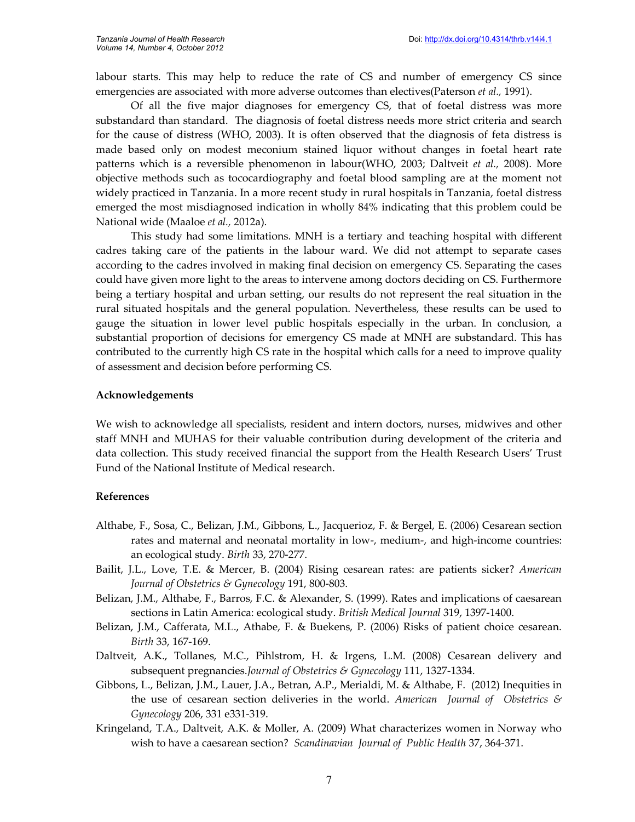labour starts. This may help to reduce the rate of CS and number of emergency CS since emergencies are associated with more adverse outcomes than electives(Paterson *et al.,* 1991).

Of all the five major diagnoses for emergency CS, that of foetal distress was more substandard than standard. The diagnosis of foetal distress needs more strict criteria and search for the cause of distress (WHO, 2003). It is often observed that the diagnosis of feta distress is made based only on modest meconium stained liquor without changes in foetal heart rate patterns which is a reversible phenomenon in labour(WHO, 2003; Daltveit *et al.,* 2008). More objective methods such as tococardiography and foetal blood sampling are at the moment not widely practiced in Tanzania. In a more recent study in rural hospitals in Tanzania, foetal distress emerged the most misdiagnosed indication in wholly 84% indicating that this problem could be National wide (Maaloe *et al.,* 2012a).

This study had some limitations. MNH is a tertiary and teaching hospital with different cadres taking care of the patients in the labour ward. We did not attempt to separate cases according to the cadres involved in making final decision on emergency CS. Separating the cases could have given more light to the areas to intervene among doctors deciding on CS. Furthermore being a tertiary hospital and urban setting, our results do not represent the real situation in the rural situated hospitals and the general population. Nevertheless, these results can be used to gauge the situation in lower level public hospitals especially in the urban. In conclusion, a substantial proportion of decisions for emergency CS made at MNH are substandard. This has contributed to the currently high CS rate in the hospital which calls for a need to improve quality of assessment and decision before performing CS.

#### **Acknowledgements**

We wish to acknowledge all specialists, resident and intern doctors, nurses, midwives and other staff MNH and MUHAS for their valuable contribution during development of the criteria and data collection. This study received financial the support from the Health Research Users' Trust Fund of the National Institute of Medical research.

#### **References**

- Althabe, F., Sosa, C., Belizan, J.M., Gibbons, L., Jacquerioz, F. & Bergel, E. (2006) Cesarean section rates and maternal and neonatal mortality in low-, medium-, and high-income countries: an ecological study. *Birth* 33, 270-277.
- Bailit, J.L., Love, T.E. & Mercer, B. (2004) Rising cesarean rates: are patients sicker? *American Journal of Obstetrics & Gynecology* 191, 800-803.
- Belizan, J.M., Althabe, F., Barros, F.C. & Alexander, S. (1999). Rates and implications of caesarean sections in Latin America: ecological study. *British Medical Journal* 319, 1397-1400.
- Belizan, J.M., Cafferata, M.L., Athabe, F. & Buekens, P. (2006) Risks of patient choice cesarean. *Birth* 33, 167-169.
- Daltveit, A.K., Tollanes, M.C., Pihlstrom, H. & Irgens, L.M. (2008) Cesarean delivery and subsequent pregnancies.*Journal of Obstetrics & Gynecology* 111, 1327-1334.
- Gibbons, L., Belizan, J.M., Lauer, J.A., Betran, A.P., Merialdi, M. & Althabe, F. (2012) Inequities in the use of cesarean section deliveries in the world. *American Journal of Obstetrics & Gynecology* 206, 331 e331-319.
- Kringeland, T.A., Daltveit, A.K. & Moller, A. (2009) What characterizes women in Norway who wish to have a caesarean section? *Scandinavian Journal of Public Health* 37, 364-371.